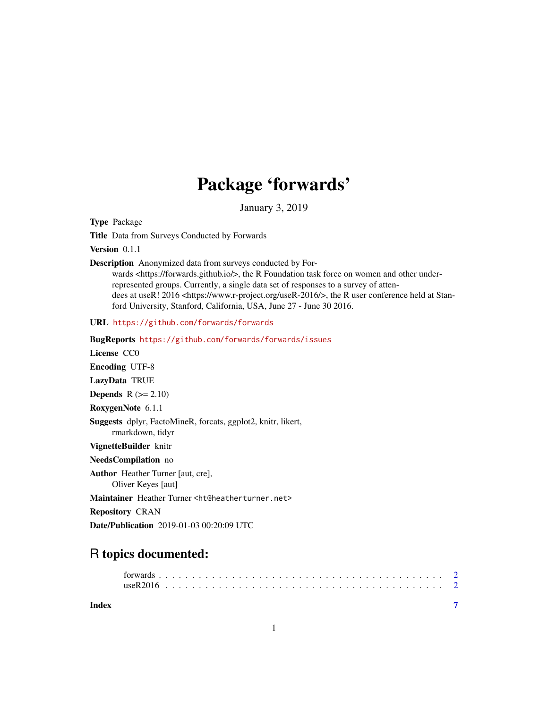## Package 'forwards'

January 3, 2019

<span id="page-0-0"></span>Type Package

Title Data from Surveys Conducted by Forwards

Version 0.1.1

Description Anonymized data from surveys conducted by For-

wards <https://forwards.github.io/>, the R Foundation task force on women and other underrepresented groups. Currently, a single data set of responses to a survey of attendees at useR! 2016 <https://www.r-project.org/useR-2016/>, the R user conference held at Stanford University, Stanford, California, USA, June 27 - June 30 2016.

URL <https://github.com/forwards/forwards>

BugReports <https://github.com/forwards/forwards/issues>

License CC0

Encoding UTF-8

LazyData TRUE

**Depends**  $R$  ( $>= 2.10$ )

RoxygenNote 6.1.1

Suggests dplyr, FactoMineR, forcats, ggplot2, knitr, likert, rmarkdown, tidyr

VignetteBuilder knitr

NeedsCompilation no

Author Heather Turner [aut, cre], Oliver Keyes [aut]

Maintainer Heather Turner <ht@heatherturner.net>

Repository CRAN

Date/Publication 2019-01-03 00:20:09 UTC

### R topics documented:

**Index** [7](#page-6-0) **7**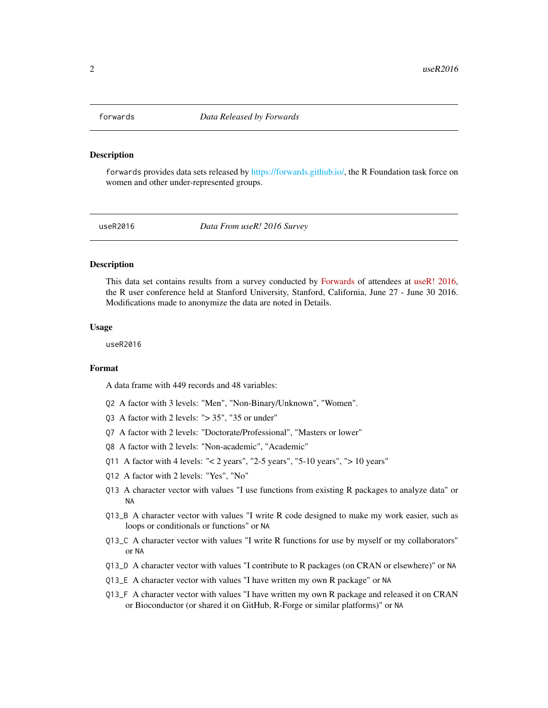<span id="page-1-0"></span>

#### Description

forwards provides data sets released by [https://forwards.github.io/,](#page-0-0) the R Foundation task force on women and other under-represented groups.

useR2016 *Data From useR! 2016 Survey*

#### **Description**

This data set contains results from a survey conducted by [Forwards](https://forwards.github.io) of attendees at [useR! 2016,](https://www.r-project.org/useR-2016/) the R user conference held at Stanford University, Stanford, California, June 27 - June 30 2016. Modifications made to anonymize the data are noted in Details.

#### Usage

useR2016

#### Format

A data frame with 449 records and 48 variables:

- Q2 A factor with 3 levels: "Men", "Non-Binary/Unknown", "Women".
- Q3 A factor with 2 levels: "> 35", "35 or under"
- Q7 A factor with 2 levels: "Doctorate/Professional", "Masters or lower"
- Q8 A factor with 2 levels: "Non-academic", "Academic"
- Q11 A factor with 4 levels: " $< 2$  years", "2-5 years", "5-10 years", " $> 10$  years"
- Q12 A factor with 2 levels: "Yes", "No"
- Q13 A character vector with values "I use functions from existing R packages to analyze data" or NA
- Q13\_B A character vector with values "I write R code designed to make my work easier, such as loops or conditionals or functions" or NA
- Q13\_C A character vector with values "I write R functions for use by myself or my collaborators" or NA
- Q13\_D A character vector with values "I contribute to R packages (on CRAN or elsewhere)" or NA
- Q13\_E A character vector with values "I have written my own R package" or NA
- Q13\_F A character vector with values "I have written my own R package and released it on CRAN or Bioconductor (or shared it on GitHub, R-Forge or similar platforms)" or NA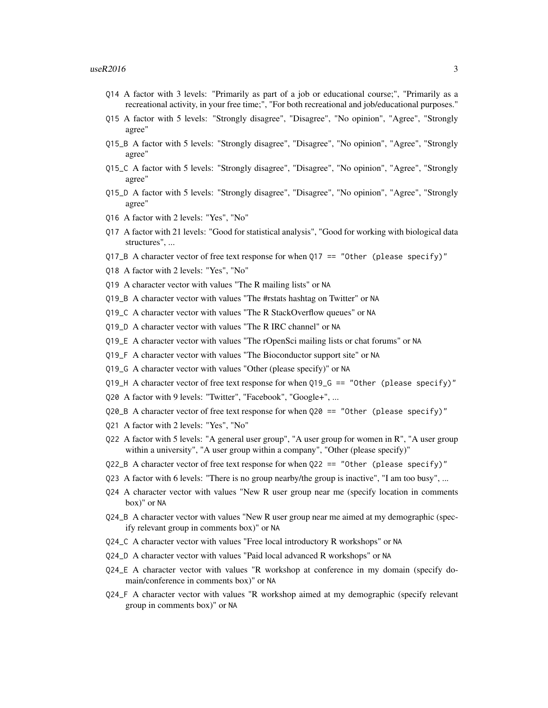- Q14 A factor with 3 levels: "Primarily as part of a job or educational course;", "Primarily as a recreational activity, in your free time;", "For both recreational and job/educational purposes."
- Q15 A factor with 5 levels: "Strongly disagree", "Disagree", "No opinion", "Agree", "Strongly agree"
- Q15\_B A factor with 5 levels: "Strongly disagree", "Disagree", "No opinion", "Agree", "Strongly agree"
- Q15\_C A factor with 5 levels: "Strongly disagree", "Disagree", "No opinion", "Agree", "Strongly agree"
- Q15\_D A factor with 5 levels: "Strongly disagree", "Disagree", "No opinion", "Agree", "Strongly agree"
- Q16 A factor with 2 levels: "Yes", "No"
- Q17 A factor with 21 levels: "Good for statistical analysis", "Good for working with biological data structures", ...
- $Q17$ <sub>-B</sub> A character vector of free text response for when  $Q17$  == "Other (please specify)"
- Q18 A factor with 2 levels: "Yes", "No"
- Q19 A character vector with values "The R mailing lists" or NA
- Q19\_B A character vector with values "The #rstats hashtag on Twitter" or NA
- Q19\_C A character vector with values "The R StackOverflow queues" or NA
- Q19\_D A character vector with values "The R IRC channel" or NA
- Q19\_E A character vector with values "The rOpenSci mailing lists or chat forums" or NA
- Q19\_F A character vector with values "The Bioconductor support site" or NA
- Q19\_G A character vector with values "Other (please specify)" or NA
- Q19\_H A character vector of free text response for when Q19\_G == "Other (please specify)"
- Q20 A factor with 9 levels: "Twitter", "Facebook", "Google+", ...
- Q20\_B A character vector of free text response for when Q20 == "Other (please specify)"
- Q21 A factor with 2 levels: "Yes", "No"
- Q22 A factor with 5 levels: "A general user group", "A user group for women in R", "A user group within a university", "A user group within a company", "Other (please specify)"
- Q22\_B A character vector of free text response for when Q22 == "Other (please specify)"
- Q23 A factor with 6 levels: "There is no group nearby/the group is inactive", "I am too busy", ...
- Q24 A character vector with values "New R user group near me (specify location in comments box)" or NA
- Q24\_B A character vector with values "New R user group near me aimed at my demographic (specify relevant group in comments box)" or NA
- Q24\_C A character vector with values "Free local introductory R workshops" or NA
- Q24\_D A character vector with values "Paid local advanced R workshops" or NA
- Q24\_E A character vector with values "R workshop at conference in my domain (specify domain/conference in comments box)" or NA
- Q24\_F A character vector with values "R workshop aimed at my demographic (specify relevant group in comments box)" or NA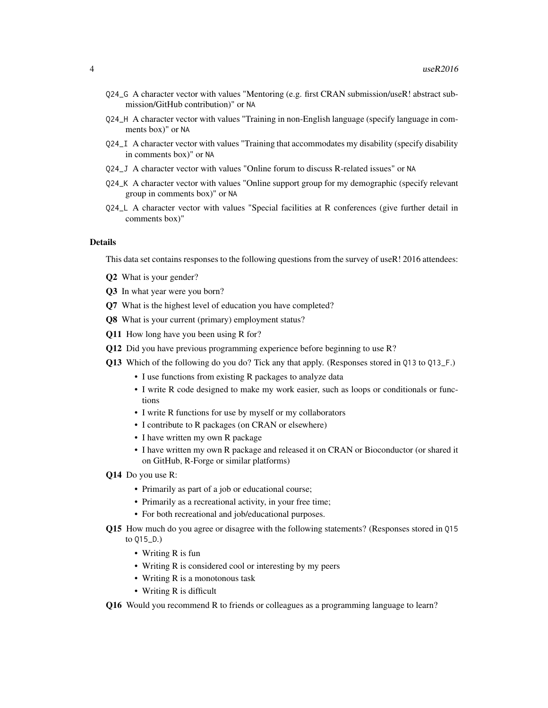- Q24\_G A character vector with values "Mentoring (e.g. first CRAN submission/useR! abstract submission/GitHub contribution)" or NA
- Q24\_H A character vector with values "Training in non-English language (specify language in comments box)" or NA
- Q24\_I A character vector with values "Training that accommodates my disability (specify disability in comments box)" or NA
- Q24\_J A character vector with values "Online forum to discuss R-related issues" or NA
- Q24\_K A character vector with values "Online support group for my demographic (specify relevant group in comments box)" or NA
- Q24\_L A character vector with values "Special facilities at R conferences (give further detail in comments box)"

#### Details

This data set contains responses to the following questions from the survey of useR! 2016 attendees:

- Q2 What is your gender?
- Q3 In what year were you born?
- Q7 What is the highest level of education you have completed?
- Q8 What is your current (primary) employment status?
- Q11 How long have you been using R for?
- Q12 Did you have previous programming experience before beginning to use R?
- Q13 Which of the following do you do? Tick any that apply. (Responses stored in Q13 to Q13\_F.)
	- I use functions from existing R packages to analyze data
	- I write R code designed to make my work easier, such as loops or conditionals or functions
	- I write R functions for use by myself or my collaborators
	- I contribute to R packages (on CRAN or elsewhere)
	- I have written my own R package
	- I have written my own R package and released it on CRAN or Bioconductor (or shared it on GitHub, R-Forge or similar platforms)
- Q14 Do you use R:
	- Primarily as part of a job or educational course;
	- Primarily as a recreational activity, in your free time;
	- For both recreational and job/educational purposes.
- Q15 How much do you agree or disagree with the following statements? (Responses stored in Q15 to Q15\_D.)
	- Writing R is fun
	- Writing R is considered cool or interesting by my peers
	- Writing R is a monotonous task
	- Writing R is difficult

Q16 Would you recommend R to friends or colleagues as a programming language to learn?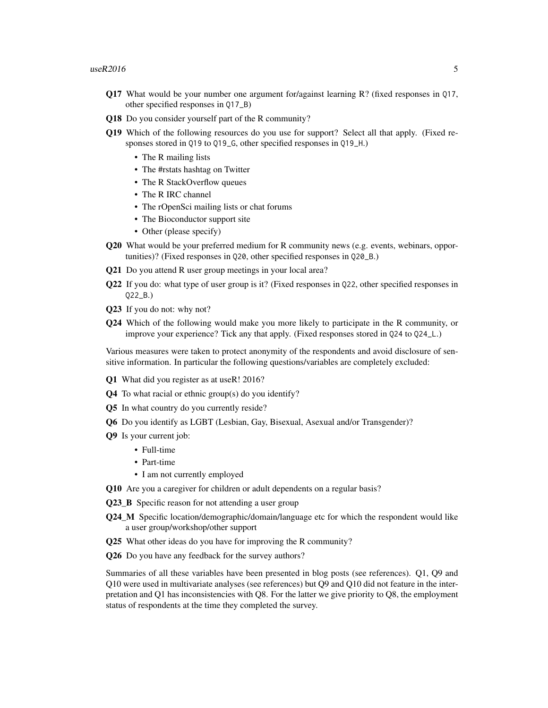- Q17 What would be your number one argument for/against learning R? (fixed responses in Q17, other specified responses in Q17\_B)
- Q18 Do you consider yourself part of the R community?
- Q19 Which of the following resources do you use for support? Select all that apply. (Fixed responses stored in Q19 to Q19\_G, other specified responses in Q19\_H.)
	- The R mailing lists
	- The #rstats hashtag on Twitter
	- The R StackOverflow queues
	- The R IRC channel
	- The rOpenSci mailing lists or chat forums
	- The Bioconductor support site
	- Other (please specify)
- Q20 What would be your preferred medium for R community news (e.g. events, webinars, opportunities)? (Fixed responses in Q20, other specified responses in Q20\_B.)
- Q21 Do you attend R user group meetings in your local area?
- Q22 If you do: what type of user group is it? (Fixed responses in Q22, other specified responses in Q22\_B.)
- Q23 If you do not: why not?
- Q24 Which of the following would make you more likely to participate in the R community, or improve your experience? Tick any that apply. (Fixed responses stored in Q24 to Q24\_L.)

Various measures were taken to protect anonymity of the respondents and avoid disclosure of sensitive information. In particular the following questions/variables are completely excluded:

- Q1 What did you register as at useR! 2016?
- Q4 To what racial or ethnic group(s) do you identify?
- Q5 In what country do you currently reside?
- Q6 Do you identify as LGBT (Lesbian, Gay, Bisexual, Asexual and/or Transgender)?
- Q9 Is your current job:
	- Full-time
	- Part-time
	- I am not currently employed
- Q10 Are you a caregiver for children or adult dependents on a regular basis?
- Q23 B Specific reason for not attending a user group
- Q24\_M Specific location/demographic/domain/language etc for which the respondent would like a user group/workshop/other support
- Q25 What other ideas do you have for improving the R community?
- Q26 Do you have any feedback for the survey authors?

Summaries of all these variables have been presented in blog posts (see references). Q1, Q9 and Q10 were used in multivariate analyses (see references) but Q9 and Q10 did not feature in the interpretation and Q1 has inconsistencies with Q8. For the latter we give priority to Q8, the employment status of respondents at the time they completed the survey.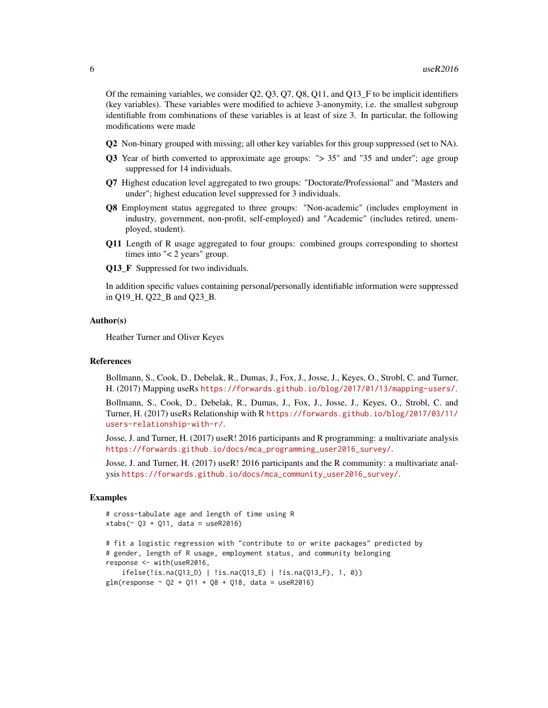Of the remaining variables, we consider Q2, Q3, Q7, Q8, Q11, and Q13\_F to be implicit identifiers (key variables). These variables were modified to achieve 3-anonymity, i.e. the smallest subgroup identifiable from combinations of these variables is at least of size 3. In particular, the following modifications were made

- Q2 Non-binary grouped with missing; all other key variables for this group suppressed (set to NA).
- Q3 Year of birth converted to approximate age groups: "> 35" and "35 and under"; age group suppressed for 14 individuals.
- Q7 Highest education level aggregated to two groups: "Doctorate/Professional" and "Masters and under"; highest education level suppressed for 3 individuals.
- Q8 Employment status aggregated to three groups: "Non-academic" (includes employment in industry, government, non-profit, self-employed) and "Academic" (includes retired, unemployed, student).
- Q11 Length of R usage aggregated to four groups: combined groups corresponding to shortest times into "< 2 years" group.
- **Q13** F Suppressed for two individuals.

In addition specific values containing personal/personally identifiable information were suppressed in Q19\_H, Q22\_B and Q23\_B.

#### Author(s)

Heather Turner and Oliver Keyes

#### References

Bollmann, S., Cook, D., Debelak, R., Dumas, J., Fox, J., Josse, J., Keyes, O., Strobl, C. and Turner, H. (2017) Mapping useRs <https://forwards.github.io/blog/2017/01/13/mapping-users/>.

Bollmann, S., Cook, D., Debelak, R., Dumas, J., Fox, J., Josse, J., Keyes, O., Strobl, C. and Turner, H. (2017) useRs Relationship with R [https://forwards.github.io/blog/2017/03/11/](https://forwards.github.io/blog/2017/03/11/users-relationship-with-r/) [users-relationship-with-r/](https://forwards.github.io/blog/2017/03/11/users-relationship-with-r/).

Josse, J. and Turner, H. (2017) useR! 2016 participants and R programming: a multivariate analysis [https://forwards.github.io/docs/mca\\_programming\\_user2016\\_survey/](https://forwards.github.io/docs/mca_programming_user2016_survey/).

Josse, J. and Turner, H. (2017) useR! 2016 participants and the R community: a multivariate analysis [https://forwards.github.io/docs/mca\\_community\\_user2016\\_survey/](https://forwards.github.io/docs/mca_community_user2016_survey/).

#### Examples

```
# cross-tabulate age and length of time using R
xtabs (\sim 03 + 011, data = useR2016)
```

```
# fit a logistic regression with "contribute to or write packages" predicted by
# gender, length of R usage, employment status, and community belonging
response <- with(useR2016,
    ifelse(!is.na(Q13_D) | !is.na(Q13_E) | !is.na(Q13_F), 1, 0))
glm(response ~ Q2 ~ + ~ Q11 ~ + ~ Q8 ~ + ~ Q18, data = useR2016)
```